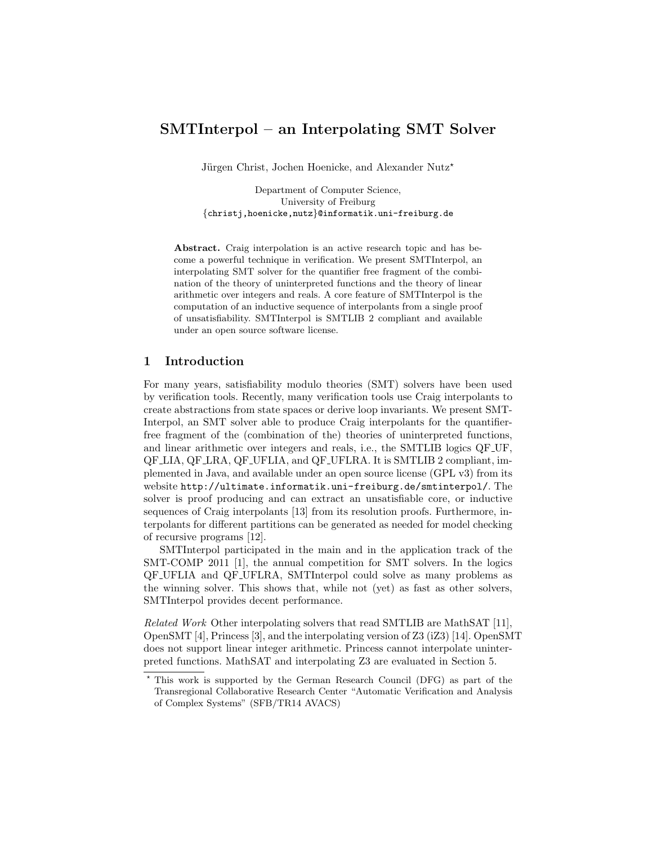# SMTInterpol – an Interpolating SMT Solver

Jürgen Christ, Jochen Hoenicke, and Alexander Nutz<sup>\*</sup>

Department of Computer Science, University of Freiburg {christj,hoenicke,nutz}@informatik.uni-freiburg.de

Abstract. Craig interpolation is an active research topic and has become a powerful technique in verification. We present SMTInterpol, an interpolating SMT solver for the quantifier free fragment of the combination of the theory of uninterpreted functions and the theory of linear arithmetic over integers and reals. A core feature of SMTInterpol is the computation of an inductive sequence of interpolants from a single proof of unsatisfiability. SMTInterpol is SMTLIB 2 compliant and available under an open source software license.

#### 1 Introduction

For many years, satisfiability modulo theories (SMT) solvers have been used by verification tools. Recently, many verification tools use Craig interpolants to create abstractions from state spaces or derive loop invariants. We present SMT-Interpol, an SMT solver able to produce Craig interpolants for the quantifierfree fragment of the (combination of the) theories of uninterpreted functions, and linear arithmetic over integers and reals, i.e., the SMTLIB logics QF UF, QF LIA, QF LRA, QF UFLIA, and QF UFLRA. It is SMTLIB 2 compliant, implemented in Java, and available under an open source license (GPL v3) from its website <http://ultimate.informatik.uni-freiburg.de/smtinterpol/>. The solver is proof producing and can extract an unsatisfiable core, or inductive sequences of Craig interpolants [\[13\]](#page-4-0) from its resolution proofs. Furthermore, interpolants for different partitions can be generated as needed for model checking of recursive programs [\[12\]](#page-4-1).

SMTInterpol participated in the main and in the application track of the SMT-COMP 2011 [\[1\]](#page-4-2), the annual competition for SMT solvers. In the logics QF UFLIA and QF UFLRA, SMTInterpol could solve as many problems as the winning solver. This shows that, while not (yet) as fast as other solvers, SMTInterpol provides decent performance.

Related Work Other interpolating solvers that read SMTLIB are MathSAT [\[11\]](#page-4-3), OpenSMT [\[4\]](#page-4-4), Princess [\[3\]](#page-4-5), and the interpolating version of Z3 (iZ3) [\[14\]](#page-4-6). OpenSMT does not support linear integer arithmetic. Princess cannot interpolate uninterpreted functions. MathSAT and interpolating Z3 are evaluated in Section [5.](#page-3-0)

<sup>?</sup> This work is supported by the German Research Council (DFG) as part of the Transregional Collaborative Research Center "Automatic Verification and Analysis of Complex Systems" (SFB/TR14 AVACS)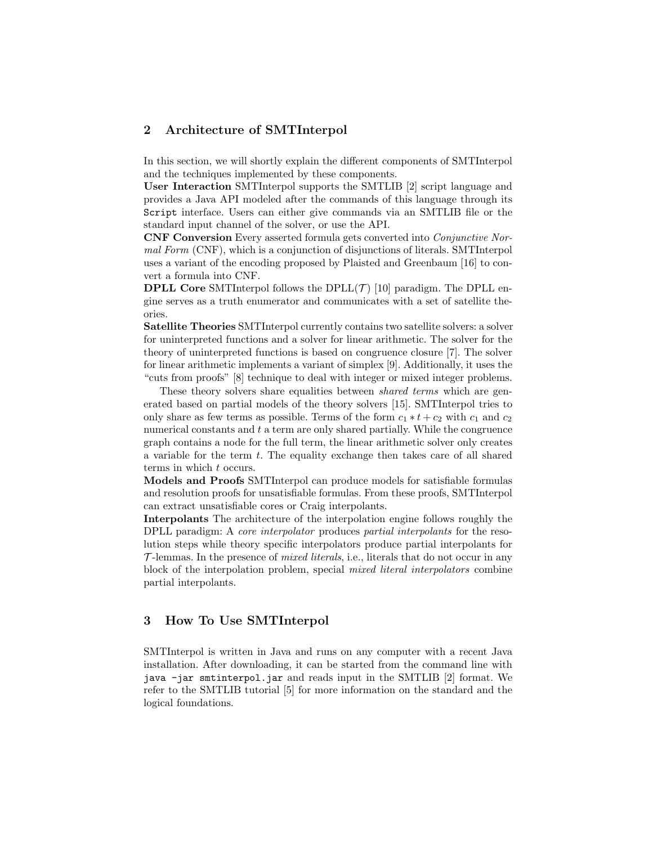## 2 Architecture of SMTInterpol

In this section, we will shortly explain the different components of SMTInterpol and the techniques implemented by these components.

User Interaction SMTInterpol supports the SMTLIB [\[2\]](#page-4-7) script language and provides a Java API modeled after the commands of this language through its Script interface. Users can either give commands via an SMTLIB file or the standard input channel of the solver, or use the API.

CNF Conversion Every asserted formula gets converted into Conjunctive Normal Form (CNF), which is a conjunction of disjunctions of literals. SMTInterpol uses a variant of the encoding proposed by Plaisted and Greenbaum [\[16\]](#page-4-8) to convert a formula into CNF.

**DPLL Core** SMTInterpol follows the  $DPLL(\mathcal{T})$  [\[10\]](#page-4-9) paradigm. The DPLL engine serves as a truth enumerator and communicates with a set of satellite theories.

Satellite Theories SMTInterpol currently contains two satellite solvers: a solver for uninterpreted functions and a solver for linear arithmetic. The solver for the theory of uninterpreted functions is based on congruence closure [\[7\]](#page-4-10). The solver for linear arithmetic implements a variant of simplex [\[9\]](#page-4-11). Additionally, it uses the "cuts from proofs" [\[8\]](#page-4-12) technique to deal with integer or mixed integer problems.

These theory solvers share equalities between *shared terms* which are generated based on partial models of the theory solvers [\[15\]](#page-4-13). SMTInterpol tries to only share as few terms as possible. Terms of the form  $c_1 * t + c_2$  with  $c_1$  and  $c_2$ numerical constants and  $t$  a term are only shared partially. While the congruence graph contains a node for the full term, the linear arithmetic solver only creates a variable for the term t. The equality exchange then takes care of all shared terms in which t occurs.

Models and Proofs SMTInterpol can produce models for satisfiable formulas and resolution proofs for unsatisfiable formulas. From these proofs, SMTInterpol can extract unsatisfiable cores or Craig interpolants.

Interpolants The architecture of the interpolation engine follows roughly the DPLL paradigm: A core interpolator produces partial interpolants for the resolution steps while theory specific interpolators produce partial interpolants for  $\mathcal{T}$ -lemmas. In the presence of *mixed literals*, i.e., literals that do not occur in any block of the interpolation problem, special mixed literal interpolators combine partial interpolants.

# 3 How To Use SMTInterpol

SMTInterpol is written in Java and runs on any computer with a recent Java installation. After downloading, it can be started from the command line with java -jar smtinterpol.jar and reads input in the SMTLIB [\[2\]](#page-4-7) format. We refer to the SMTLIB tutorial [\[5\]](#page-4-14) for more information on the standard and the logical foundations.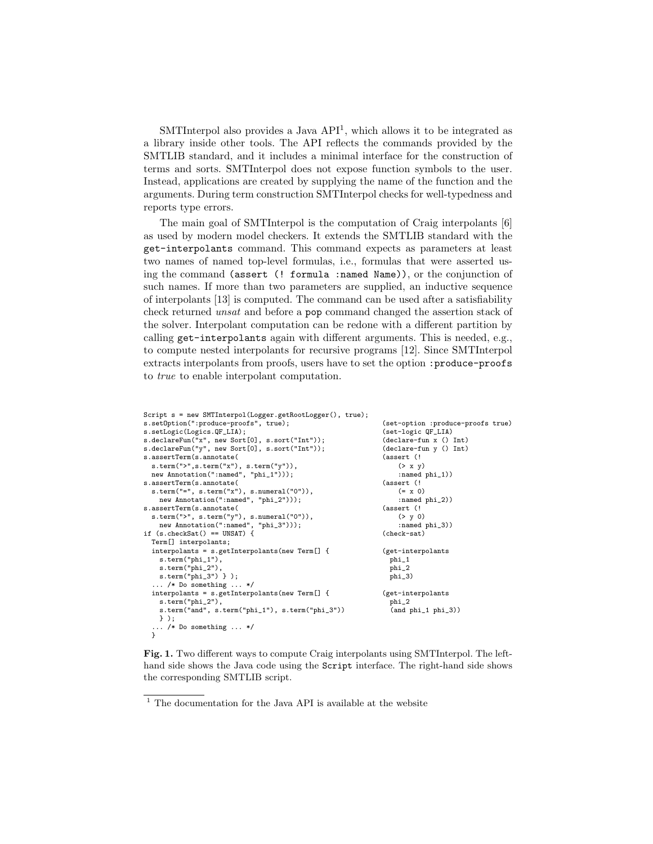SMTInterpol also provides a Java API<sup>[1](#page-2-0)</sup>, which allows it to be integrated as a library inside other tools. The API reflects the commands provided by the SMTLIB standard, and it includes a minimal interface for the construction of terms and sorts. SMTInterpol does not expose function symbols to the user. Instead, applications are created by supplying the name of the function and the arguments. During term construction SMTInterpol checks for well-typedness and reports type errors.

The main goal of SMTInterpol is the computation of Craig interpolants [\[6\]](#page-4-15) as used by modern model checkers. It extends the SMTLIB standard with the get-interpolants command. This command expects as parameters at least two names of named top-level formulas, i.e., formulas that were asserted using the command (assert (! formula :named Name)), or the conjunction of such names. If more than two parameters are supplied, an inductive sequence of interpolants [\[13\]](#page-4-0) is computed. The command can be used after a satisfiability check returned unsat and before a pop command changed the assertion stack of the solver. Interpolant computation can be redone with a different partition by calling get-interpolants again with different arguments. This is needed, e.g., to compute nested interpolants for recursive programs [\[12\]](#page-4-1). Since SMTInterpol extracts interpolants from proofs, users have to set the option :produce-proofs to true to enable interpolant computation.

```
Script s = new SMTInterpol(Logger.getRootLogger(), true);
s.setOption(":produce-proofs", true);
s.setLogic(Logics.QF_LIA);
s.declareFun("x", new Sort[0], s.sort("Int"));
s.declareFun("y", new Sort[0], s.sort("Int"));
s.assertTerm(s.annotate(
 s.term(">",s.term("x"), s.term("y")),
 new Annotation(":named", "phi_1")));
s.assertTerm(s.annotate(
  s.term("=", s.term("x"), s.numeral("0")),
    new Annotation(":named", "phi_2")));
s.assertTerm(s.annotate(
  s.term(">", s.term("y"), s.numeral("0")),
    new Annotation(":named", "phi_3")));
if (s.checkSat() == UNSAT) {
  Term[] interpolants;
 interpolants = s.getInterpolants(new Term[] {
    s.term("phi_1"),
    s.term("phi_2")
    s.term("phi_3") } );
   ... /* Do something ... */
  interpolants = s.getInterpolants(new Term[] {
    s.term("phi_2"),
    s.term("and", s.term("phi_1"), s.term("phi_3"))
  } );
... /* Do something ... */
}
                                                                (set-option :produce-proofs true)
                                                                (set-logic QF_LIA)
                                                                (declare-fun x () Int)
                                                                (declare-fun y () Int)
                                                                (assert (!
                                                                    (> x y)
                                                                    :named phi_1))
                                                                (assert (!
                                                                    (= x 0)
                                                                    :named phi_2))
                                                                (assert (!
                                                                    (> y 0)
                                                                    :named phi_3))
                                                                (check-sat)
                                                                (get-interpolants
                                                                 phi_1
                                                                  phi_2
                                                                 phi_3)
                                                                (get-interpolants
                                                                 phi_2
                                                                  (and phi_1 phi_3))
```
<span id="page-2-1"></span>Fig. 1. Two different ways to compute Craig interpolants using SMTInterpol. The lefthand side shows the Java code using the Script interface. The right-hand side shows the corresponding SMTLIB script.

<span id="page-2-0"></span> $^{\rm 1}$  The documentation for the Java API is available at the website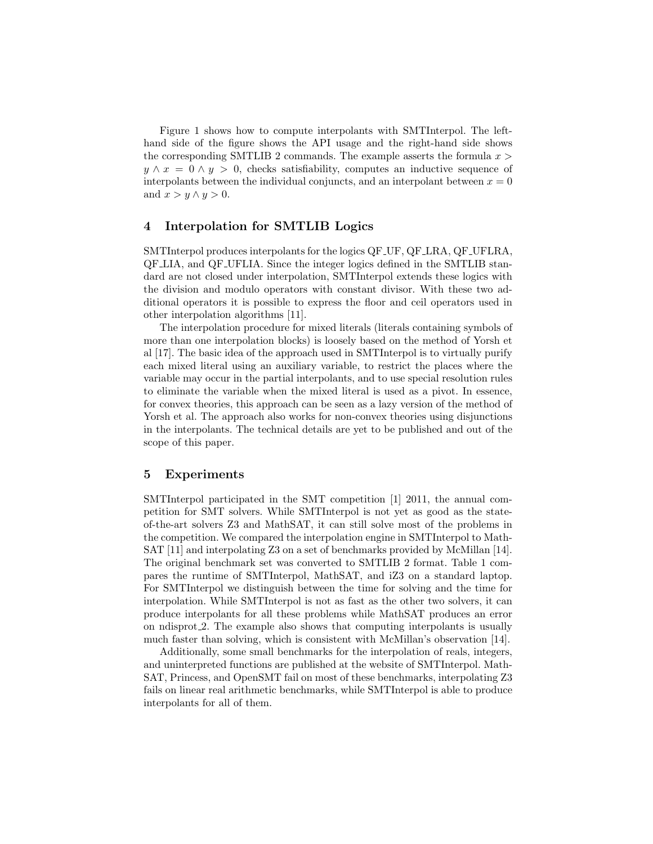Figure [1](#page-2-1) shows how to compute interpolants with SMTInterpol. The lefthand side of the figure shows the API usage and the right-hand side shows the corresponding SMTLIB 2 commands. The example asserts the formula  $x >$  $y \wedge x = 0 \wedge y > 0$ , checks satisfiability, computes an inductive sequence of interpolants between the individual conjuncts, and an interpolant between  $x = 0$ and  $x > y \wedge y > 0$ .

### 4 Interpolation for SMTLIB Logics

SMTInterpol produces interpolants for the logics QF UF, QF LRA, QF UFLRA, QF LIA, and QF UFLIA. Since the integer logics defined in the SMTLIB standard are not closed under interpolation, SMTInterpol extends these logics with the division and modulo operators with constant divisor. With these two additional operators it is possible to express the floor and ceil operators used in other interpolation algorithms [\[11\]](#page-4-3).

The interpolation procedure for mixed literals (literals containing symbols of more than one interpolation blocks) is loosely based on the method of Yorsh et al [\[17\]](#page-4-16). The basic idea of the approach used in SMTInterpol is to virtually purify each mixed literal using an auxiliary variable, to restrict the places where the variable may occur in the partial interpolants, and to use special resolution rules to eliminate the variable when the mixed literal is used as a pivot. In essence, for convex theories, this approach can be seen as a lazy version of the method of Yorsh et al. The approach also works for non-convex theories using disjunctions in the interpolants. The technical details are yet to be published and out of the scope of this paper.

#### <span id="page-3-0"></span>5 Experiments

SMTInterpol participated in the SMT competition [\[1\]](#page-4-2) 2011, the annual competition for SMT solvers. While SMTInterpol is not yet as good as the stateof-the-art solvers Z3 and MathSAT, it can still solve most of the problems in the competition. We compared the interpolation engine in SMTInterpol to Math-SAT [\[11\]](#page-4-3) and interpolating Z3 on a set of benchmarks provided by McMillan [\[14\]](#page-4-6). The original benchmark set was converted to SMTLIB 2 format. Table [1](#page-4-17) compares the runtime of SMTInterpol, MathSAT, and iZ3 on a standard laptop. For SMTInterpol we distinguish between the time for solving and the time for interpolation. While SMTInterpol is not as fast as the other two solvers, it can produce interpolants for all these problems while MathSAT produces an error on ndisprot 2. The example also shows that computing interpolants is usually much faster than solving, which is consistent with McMillan's observation [\[14\]](#page-4-6).

Additionally, some small benchmarks for the interpolation of reals, integers, and uninterpreted functions are published at the website of SMTInterpol. Math-SAT, Princess, and OpenSMT fail on most of these benchmarks, interpolating Z3 fails on linear real arithmetic benchmarks, while SMTInterpol is able to produce interpolants for all of them.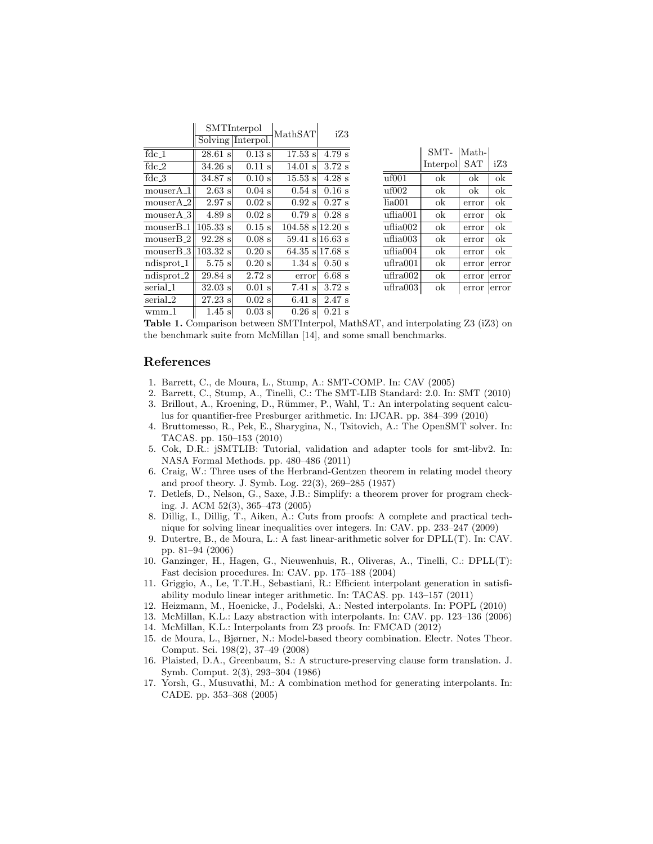|                       | SMTInterpol        |                   | MathSAT              | iZ3      |
|-----------------------|--------------------|-------------------|----------------------|----------|
|                       |                    | Solving Interpol. |                      |          |
| $fdc_1$               | $28.61$ s          | $0.13$ s          | $17.53$ s            | 4.79 s   |
| fdc $2$               | 34.26 s            | $0.11$ s          | $14.01$ s            | $3.72$ s |
| $fdc_3$               | 34.87 s            | 0.10 s            | $15.53 \text{ s}$    | $4.28$ s |
| mouserA <sub>-1</sub> | $2.63$ s           | $0.04$ s          | $0.54$ s             | $0.16$ s |
| $mouser A_2$          | $2.97 \mathrm{s}$  | $0.02$ s          | $0.92$ s             | $0.27$ s |
| $mouserA_3$           | 4.89 s             | $0.02$ s          | 0.79 s               | $0.28$ s |
| $mouser B-1$          | $105.33 \text{ s}$ | $0.15$ s          | $104.58$ s $12.20$ s |          |
| $mouserB_2$           | 92.28 s            | $0.08$ s          | $59.41$ s 16.63 s    |          |
| $mouser B_3$          | $103.32 \text{ s}$ | $0.20$ s          | 64.35 s 17.68 s      |          |
| $ndisprot_1$          | $5.75$ s           | $0.20$ s          | $1.34 \mathrm{s}$    | $0.50$ s |
| $ndisprot_2$          | $29.84\text{ s}$   | $2.72$ s          | error                | $6.68$ s |
| serial_1              | $32.03$ s          | $0.01$ s          | $7.41$ s             | $3.72$ s |
| serial_2              | $27.23$ s          | $0.02$ s          | $6.41$ s             | $2.47$ s |
| $wmm_1$               | $1.45$ s           | $0.03$ s          | $0.26$ s             | $0.21$ s |

|               | SMT-     | Math-      |       |
|---------------|----------|------------|-------|
|               | Interpol | <b>SAT</b> | iZ3   |
| uf001         | ok       | ok         | ok    |
| $\mu$ f $002$ | ok       | ok         | ok    |
| lia001        | ok       | error      | ok    |
| uflia001      | ok       | error      | ok    |
| uflia002      | ok       | error      | ok    |
| uflia003      | ok       | error      | ok    |
| uflia004      | ok       | error      | ok    |
| uffra001      | ok       | error      | error |
| uffra002      | ok       | error      | error |
| ufira003      | ok       | error      | error |
|               |          |            |       |

<span id="page-4-17"></span>Table 1. Comparison between SMTInterpol, MathSAT, and interpolating Z3 (iZ3) on the benchmark suite from McMillan [\[14\]](#page-4-6), and some small benchmarks.

#### References

- <span id="page-4-2"></span>1. Barrett, C., de Moura, L., Stump, A.: SMT-COMP. In: CAV (2005)
- <span id="page-4-7"></span><span id="page-4-5"></span>2. Barrett, C., Stump, A., Tinelli, C.: The SMT-LIB Standard: 2.0. In: SMT (2010) 3. Brillout, A., Kroening, D., Rümmer, P., Wahl, T.: An interpolating sequent calcu-
- lus for quantifier-free Presburger arithmetic. In: IJCAR. pp. 384–399 (2010) 4. Bruttomesso, R., Pek, E., Sharygina, N., Tsitovich, A.: The OpenSMT solver. In:
- <span id="page-4-4"></span>TACAS. pp. 150–153 (2010)
- <span id="page-4-14"></span>5. Cok, D.R.: jSMTLIB: Tutorial, validation and adapter tools for smt-libv2. In: NASA Formal Methods. pp. 480–486 (2011)
- <span id="page-4-15"></span>6. Craig, W.: Three uses of the Herbrand-Gentzen theorem in relating model theory and proof theory. J. Symb. Log. 22(3), 269–285 (1957)
- <span id="page-4-10"></span>7. Detlefs, D., Nelson, G., Saxe, J.B.: Simplify: a theorem prover for program checking. J. ACM 52(3), 365–473 (2005)
- <span id="page-4-12"></span>8. Dillig, I., Dillig, T., Aiken, A.: Cuts from proofs: A complete and practical technique for solving linear inequalities over integers. In: CAV. pp. 233–247 (2009)
- <span id="page-4-11"></span>9. Dutertre, B., de Moura, L.: A fast linear-arithmetic solver for DPLL(T). In: CAV. pp. 81–94 (2006)
- <span id="page-4-9"></span>10. Ganzinger, H., Hagen, G., Nieuwenhuis, R., Oliveras, A., Tinelli, C.: DPLL(T): Fast decision procedures. In: CAV. pp. 175–188 (2004)
- <span id="page-4-3"></span>11. Griggio, A., Le, T.T.H., Sebastiani, R.: Efficient interpolant generation in satisfiability modulo linear integer arithmetic. In: TACAS. pp. 143–157 (2011)
- <span id="page-4-1"></span>12. Heizmann, M., Hoenicke, J., Podelski, A.: Nested interpolants. In: POPL (2010)
- <span id="page-4-0"></span>13. McMillan, K.L.: Lazy abstraction with interpolants. In: CAV. pp. 123–136 (2006)
- <span id="page-4-6"></span>14. McMillan, K.L.: Interpolants from Z3 proofs. In: FMCAD (2012)
- <span id="page-4-13"></span>15. de Moura, L., Bjørner, N.: Model-based theory combination. Electr. Notes Theor. Comput. Sci. 198(2), 37–49 (2008)
- <span id="page-4-8"></span>16. Plaisted, D.A., Greenbaum, S.: A structure-preserving clause form translation. J. Symb. Comput. 2(3), 293–304 (1986)
- <span id="page-4-16"></span>17. Yorsh, G., Musuvathi, M.: A combination method for generating interpolants. In: CADE. pp. 353–368 (2005)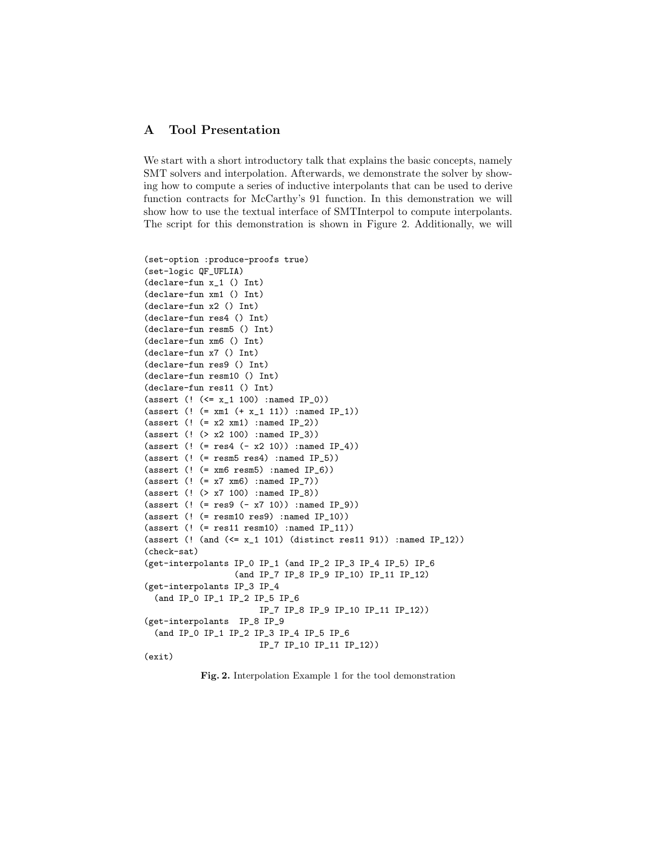# A Tool Presentation

We start with a short introductory talk that explains the basic concepts, namely SMT solvers and interpolation. Afterwards, we demonstrate the solver by showing how to compute a series of inductive interpolants that can be used to derive function contracts for McCarthy's 91 function. In this demonstration we will show how to use the textual interface of SMTInterpol to compute interpolants. The script for this demonstration is shown in Figure [2.](#page-5-0) Additionally, we will

```
(set-option :produce-proofs true)
(set-logic QF_UFLIA)
(declare-fun x_1 () Int)
(declare-fun xm1 () Int)
(declare-fun x2 () Int)
(declare-fun res4 () Int)
(declare-fun resm5 () Int)
(declare-fun xm6 () Int)
(declare-fun x7 () Int)
(declare-fun res9 () Int)
(declare-fun resm10 () Int)
(declare-fun res11 () Int)
(assert (! (<= x_1 100) :named IP_0))
(\text{assert } (! (= \text{xm1 } (+ \text{x}_1 11)) : \text{named IP}_1))(assert (! (= x2 xm1) :named IP_2))
(assert (! (> x2 100) :named IP_3))
(assert (! (= res4 (- x2 10)) :named IP_4))
(assert (! (= resm5 res4) :named IP_5))
(\text{assert }(! (= \text{xm6 } \text{resm5}) : \text{named IP}_6))(\text{assert } (! (= x7 xm6) : \text{named IP}_7))(assert (! (> x7 100) :named IP_8))
(assert (! (= res9 (- x7 10)) :named IP_9))
(assert (! (= resm10 res9) :named IP_10))
(assert (! (= res11 resm10) :named IP_11))
(assert (! (and (<= x_1 101) (distinct res11 91)) :named IP_12))
(check-sat)
(get-interpolants IP_0 IP_1 (and IP_2 IP_3 IP_4 IP_5) IP_6
                   (and IP_7 IP_8 IP_9 IP_10) IP_11 IP_12)
(get-interpolants IP_3 IP_4
  (and IP_0 IP_1 IP_2 IP_5 IP_6
                         IP_7 IP_8 IP_9 IP_10 IP_11 IP_12))
(get-interpolants IP_8 IP_9
  (and IP_0 IP_1 IP_2 IP_3 IP_4 IP_5 IP_6
                         IP_7 IP_10 IP_11 IP_12))
(exit)
```
<span id="page-5-0"></span>Fig. 2. Interpolation Example 1 for the tool demonstration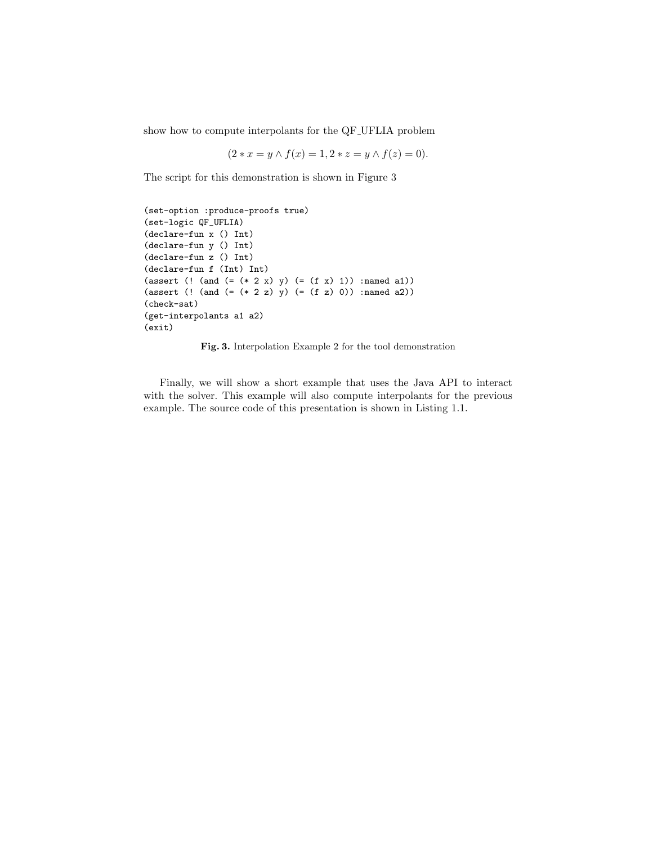show how to compute interpolants for the QF UFLIA problem

$$
(2 * x = y \land f(x) = 1, 2 * z = y \land f(z) = 0).
$$

The script for this demonstration is shown in Figure [3](#page-6-0)

```
(set-option :produce-proofs true)
(set-logic QF_UFLIA)
(declare-fun x () Int)
(declare-fun y () Int)
(declare-fun z () Int)
(declare-fun f (Int) Int)
(assert (! (and (=(* 2 x) y) (= (f x) 1)) :named a1))
(assert (! (and (=(* 2 z) y) (= (f z) 0)) :named a2))
(check-sat)
(get-interpolants a1 a2)
(exit)
```
<span id="page-6-0"></span>

Finally, we will show a short example that uses the Java API to interact with the solver. This example will also compute interpolants for the previous example. The source code of this presentation is shown in Listing [1.1.](#page-7-0)